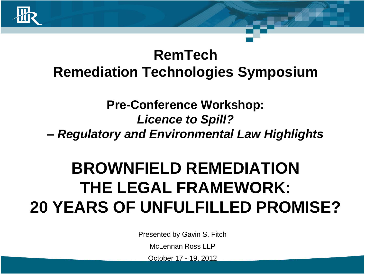

#### **RemTech Remediation Technologies Symposium**

#### **Pre-Conference Workshop:**  *Licence to Spill?*

**–** *Regulatory and Environmental Law Highlights*

#### **BROWNFIELD REMEDIATION THE LEGAL FRAMEWORK: 20 YEARS OF UNFULFILLED PROMISE?**

Presented by Gavin S. Fitch

McLennan Ross LLP

October 17 - 19, 2012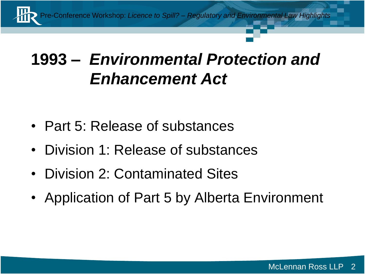

#### **1993 –** *Environmental Protection and Enhancement Act*

- Part 5: Release of substances
- Division 1: Release of substances
- Division 2: Contaminated Sites
- Application of Part 5 by Alberta Environment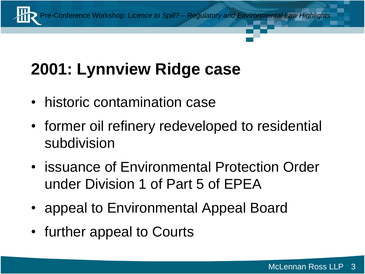## **2001: Lynnview Ridge case**

- historic contamination case
- former oil refinery redeveloped to residential subdivision
- issuance of Environmental Protection Order under Division 1 of Part 5 of EPEA
- appeal to Environmental Appeal Board
- further appeal to Courts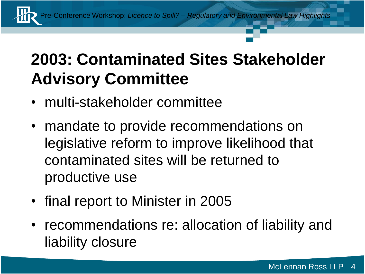#### **2003: Contaminated Sites Stakeholder Advisory Committee**

- multi-stakeholder committee
- mandate to provide recommendations on legislative reform to improve likelihood that contaminated sites will be returned to productive use
- final report to Minister in 2005
- recommendations re: allocation of liability and liability closure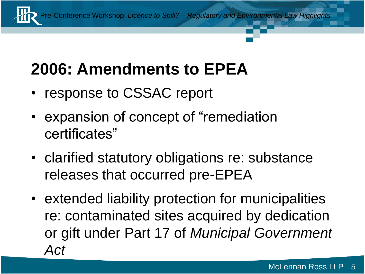### **2006: Amendments to EPEA**

- response to CSSAC report
- expansion of concept of "remediation certificates"
- clarified statutory obligations re: substance releases that occurred pre-EPEA
- extended liability protection for municipalities re: contaminated sites acquired by dedication or gift under Part 17 of *Municipal Government Act*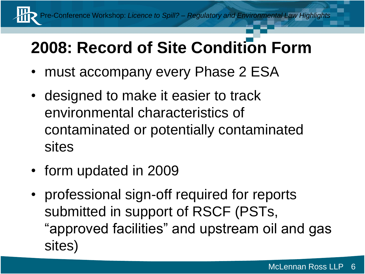#### **2008: Record of Site Condition Form**

- must accompany every Phase 2 ESA
- designed to make it easier to track environmental characteristics of contaminated or potentially contaminated sites
- form updated in 2009
- professional sign-off required for reports submitted in support of RSCF (PSTs, "approved facilities" and upstream oil and gas sites)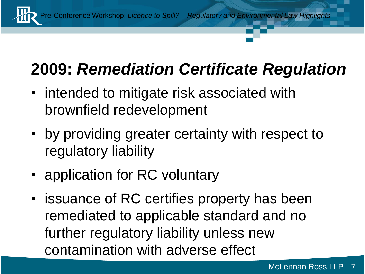

#### **2009:** *Remediation Certificate Regulation*

- intended to mitigate risk associated with brownfield redevelopment
- by providing greater certainty with respect to regulatory liability
- application for RC voluntary
- issuance of RC certifies property has been remediated to applicable standard and no further regulatory liability unless new contamination with adverse effect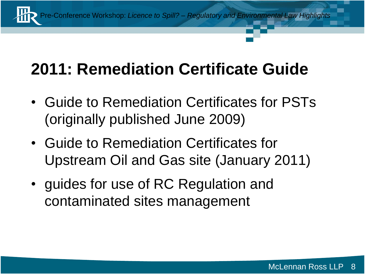

#### **2011: Remediation Certificate Guide**

- Guide to Remediation Certificates for PSTs (originally published June 2009)
- Guide to Remediation Certificates for Upstream Oil and Gas site (January 2011)
- guides for use of RC Regulation and contaminated sites management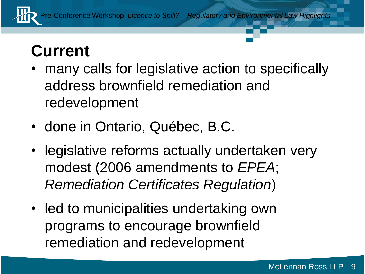

#### **Current**

- many calls for legislative action to specifically address brownfield remediation and redevelopment
- done in Ontario, Québec, B.C.
- legislative reforms actually undertaken very modest (2006 amendments to *EPEA*; *Remediation Certificates Regulation*)
- led to municipalities undertaking own programs to encourage brownfield remediation and redevelopment